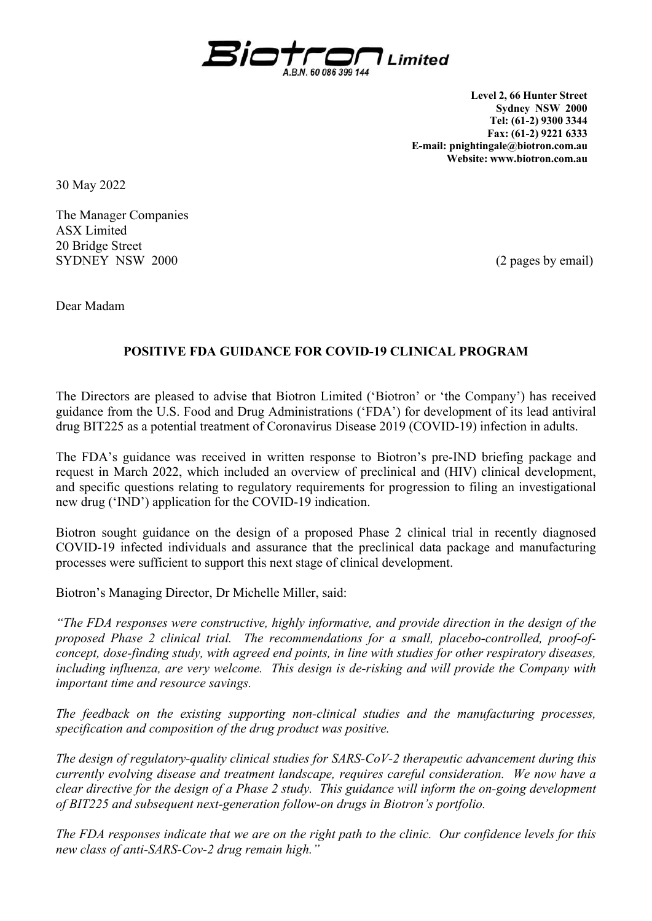

**Level 2, 66 Hunter Street Sydney NSW 2000 Tel: (61-2) 9300 3344 Fax: (61-2) 9221 6333 E-mail: pnightingale@biotron.com.au Website: www.biotron.com.au** 

30 May 2022

The Manager Companies ASX Limited 20 Bridge Street SYDNEY NSW 2000 (2 pages by email)

Dear Madam

## **POSITIVE FDA GUIDANCE FOR COVID-19 CLINICAL PROGRAM**

The Directors are pleased to advise that Biotron Limited ('Biotron' or 'the Company') has received guidance from the U.S. Food and Drug Administrations ('FDA') for development of its lead antiviral drug BIT225 as a potential treatment of Coronavirus Disease 2019 (COVID-19) infection in adults.

The FDA's guidance was received in written response to Biotron's pre-IND briefing package and request in March 2022, which included an overview of preclinical and (HIV) clinical development, and specific questions relating to regulatory requirements for progression to filing an investigational new drug ('IND') application for the COVID-19 indication.

Biotron sought guidance on the design of a proposed Phase 2 clinical trial in recently diagnosed COVID-19 infected individuals and assurance that the preclinical data package and manufacturing processes were sufficient to support this next stage of clinical development.

Biotron's Managing Director, Dr Michelle Miller, said:

*"The FDA responses were constructive, highly informative, and provide direction in the design of the proposed Phase 2 clinical trial. The recommendations for a small, placebo-controlled, proof-ofconcept, dose-finding study, with agreed end points, in line with studies for other respiratory diseases, including influenza, are very welcome. This design is de-risking and will provide the Company with important time and resource savings.* 

*The feedback on the existing supporting non-clinical studies and the manufacturing processes, specification and composition of the drug product was positive.* 

*The design of regulatory-quality clinical studies for SARS-CoV-2 therapeutic advancement during this currently evolving disease and treatment landscape, requires careful consideration. We now have a clear directive for the design of a Phase 2 study. This guidance will inform the on-going development of BIT225 and subsequent next-generation follow-on drugs in Biotron's portfolio.* 

*The FDA responses indicate that we are on the right path to the clinic. Our confidence levels for this new class of anti-SARS-Cov-2 drug remain high."*